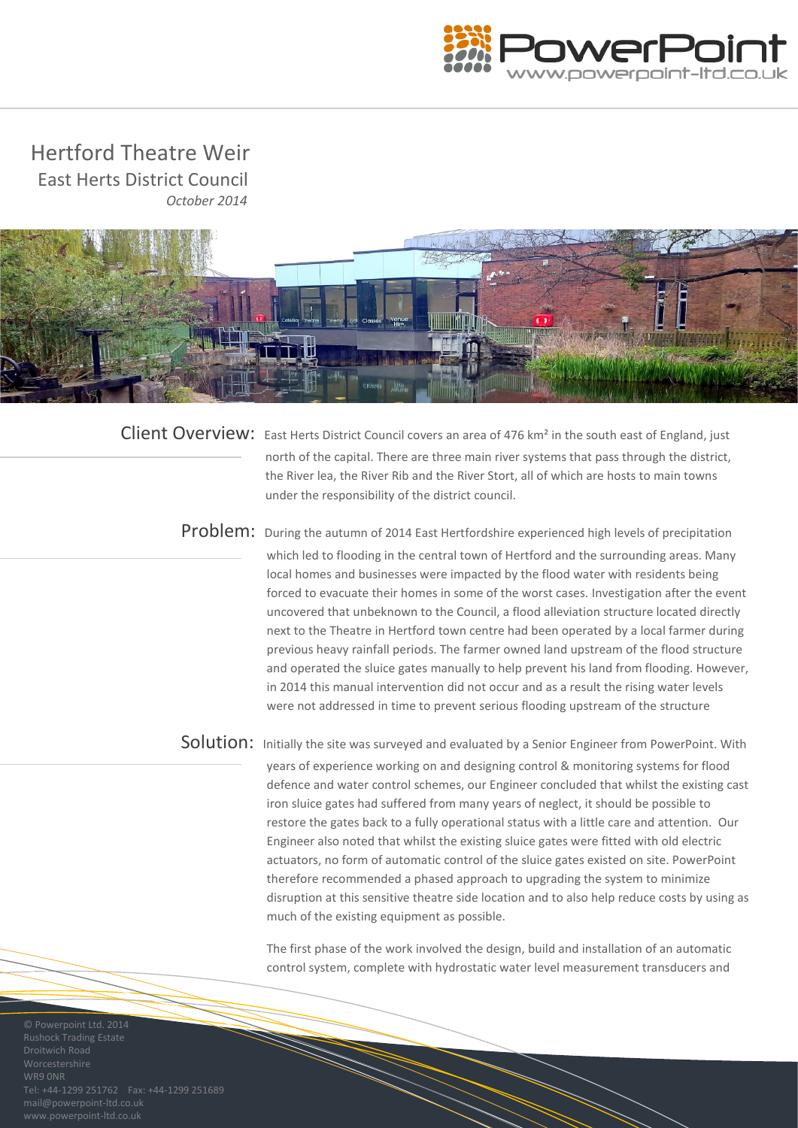

 Hertford Theatre Weir East Herts District Council  *October 2014*



Client Overview: East Herts District Council covers an area of 476 km<sup>2</sup> in the south east of England, just north of the capital. There are three main river systems that pass through the district, the River lea, the River Rib and the River Stort, all of which are hosts to main towns under the responsibility of the district council.

Problem: During the autumn of 2014 East Hertfordshire experienced high levels of precipitation which led to flooding in the central town of Hertford and the surrounding areas. Many local homes and businesses were impacted by the flood water with residents being forced to evacuate their homes in some of the worst cases. Investigation after the event uncovered that unbeknown to the Council, a flood alleviation structure located directly next to the Theatre in Hertford town centre had been operated by a local farmer during previous heavy rainfall periods. The farmer owned land upstream of the flood structure and operated the sluice gates manually to help prevent his land from flooding. However, in 2014 this manual intervention did not occur and as a result the rising water levels were not addressed in time to prevent serious flooding upstream of the structure

Solution: Initially the site was surveyed and evaluated by a Senior Engineer from PowerPoint. With years of experience working on and designing control & monitoring systems for flood defence and water control schemes, our Engineer concluded that whilst the existing cast iron sluice gates had suffered from many years of neglect, it should be possible to restore the gates back to a fully operational status with a little care and attention. Our Engineer also noted that whilst the existing sluice gates were fitted with old electric actuators, no form of automatic control of the sluice gates existed on site. PowerPoint therefore recommended a phased approach to upgrading the system to minimize disruption at this sensitive theatre side location and to also help reduce costs by using as much of the existing equipment as possible.

> control system, complete with hydrostatic water level measurement transducers and The first phase of the work involved the design, build and installation of an automatic

WR9 0NR mail@powerpoint-ltd.co.uk